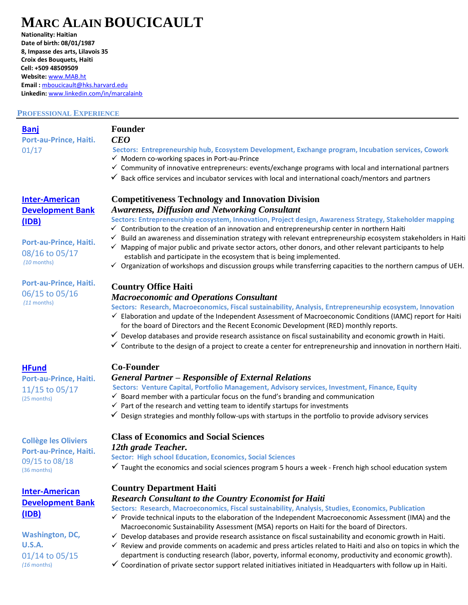# **MARC ALAIN BOUCICAULT**

**Nationality: Haitian Date of birth: 08/01/1987 8, Impasse des arts, Lilavois 35 Croix des Bouquets, Haiti Cell: +509 48509509 Website:** [www.MAB.ht](http://www.mab.ht/) **Email :** [mboucicault@hks.harvard.edu](mailto:mboucicault@hks.harvard.edu) **Linkedin:** [www.linkedin.com/in/marcalainb](http://www.linkedin.com/in/marcalainb)

#### **PROFESSIONAL EXPERIENCE**

| <b>Banj</b>                   | <b>Founder</b>                                                                                      |
|-------------------------------|-----------------------------------------------------------------------------------------------------|
| <b>Port-au-Prince, Haiti.</b> | CEO                                                                                                 |
| 01/17                         | Sectors: Entrepreneurship hub, Ecosystem Development, Exchange program, Incubation services, Cowork |
|                               | Modern co-working spaces in Port-au-Prince                                                          |

- ✓ Community of innovative entrepreneurs: events/exchange programs with local and international partners
- $\checkmark$  Back office services and incubator services with local and international coach/mentors and partners

### **Competitiveness Technology and Innovation Division** *Awareness, Diffusion and Networking Consultant*

**Sectors: Entrepreneurship ecosystem, Innovation, Project design, Awareness Strategy, Stakeholder mapping**

- $\checkmark$  Contribution to the creation of an innovation and entrepreneurship center in northern Haiti
- $\checkmark$  Build an awareness and dissemination strategy with relevant entrepreneurship ecosystem stakeholders in Haiti
- ✓ Mapping of major public and private sector actors, other donors, and other relevant participants to help establish and participate in the ecosystem that is being implemented.
- $\checkmark$  Organization of workshops and discussion groups while transferring capacities to the northern campus of UEH.

# **Country Office Haiti**

#### *Macroeconomic and Operations Consultant*

**Sectors: Research, Macroeconomics, Fiscal sustainability, Analysis, Entrepreneurship ecosystem, Innovation**

- ✓ Elaboration and update of the Independent Assessment of Macroeconomic Conditions (IAMC) report for Haiti for the board of Directors and the Recent Economic Development (RED) monthly reports.
- $\checkmark$  Develop databases and provide research assistance on fiscal sustainability and economic growth in Haiti.
- $\checkmark$  Contribute to the design of a project to create a center for entrepreneurship and innovation in northern Haiti.

#### **Co-Founder**

### *General Partner – Responsible of External Relations*

**Sectors: Venture Capital, Portfolio Management, Advisory services, Investment, Finance, Equity**

- $\checkmark$  Board member with a particular focus on the fund's branding and communication
- $\checkmark$  Part of the research and vetting team to identify startups for investments
- $\checkmark$  Design strategies and monthly follow-ups with startups in the portfolio to provide advisory services

## **Collège les Oliviers Port-au-Prince, Haiti.** 09/15 to 08/18 (36 months)

**Port-au-Prince, Haiti.**  11/15 to 05/17

# **[Inter-American](http://www.iadb.org/)  [Development Bank](http://www.iadb.org/) [\(IDB\)](http://www.iadb.org/)**

### **Washington, DC, U.S.A.** 01/14 to 05/15 *(16* months)

# **Class of Economics and Social Sciences** *12th grade Teacher.*

**Sector: High school Education, Economics, Social Sciences**

 $\checkmark$  Taught the economics and social sciences program 5 hours a week - French high school education system

# **Country Department Haiti**

#### *Research Consultant to the Country Economist for Haiti*

**Sectors: Research, Macroeconomics, Fiscal sustainability, Analysis, Studies, Economics, Publication**

- ✓ Provide technical inputs to the elaboration of the Independent Macroeconomic Assessment (IMA) and the Macroeconomic Sustainability Assessment (MSA) reports on Haiti for the board of Directors.
- $\checkmark$  Develop databases and provide research assistance on fiscal sustainability and economic growth in Haiti.
- ✓ Review and provide comments on academic and press articles related to Haiti and also on topics in which the department is conducting research (labor, poverty, informal economy, productivity and economic growth).
- $\checkmark$  Coordination of private sector support related initiatives initiated in Headquarters with follow up in Haiti.

# **[Inter-American](http://www.iadb.org/)  [Development Bank](http://www.iadb.org/) [\(IDB\)](http://www.iadb.org/)**

#### **Port-au-Prince, Haiti.**  08/16 to 05/17 *(10* months)

**Port-au-Prince, Haiti.**  06/15 to 05/16 *(11* months)

**[HFund](https://www.facebook.com/hfundvc/)**

(25 months)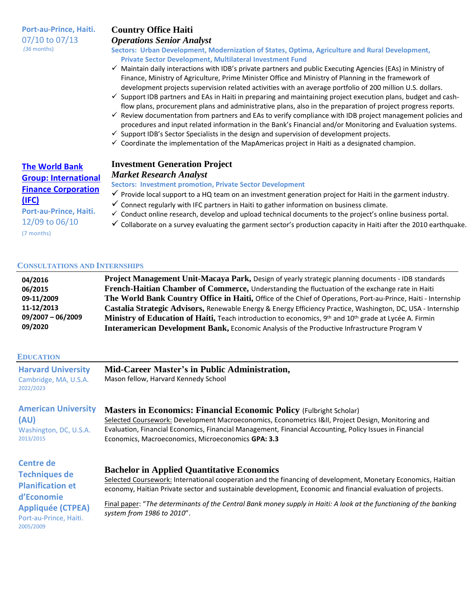**Port-au-Prince, Haiti.**  07/10 to 07/13 *(36* months)

# **Country Office Haiti**

#### *Operations Senior Analyst*

#### **Sectors: Urban Development, Modernization of States, Optima, Agriculture and Rural Development, Private Sector Development, Multilateral Investment Fund**

- ✓ Maintain daily interactions with IDB's private partners and public Executing Agencies (EAs) in Ministry of Finance, Ministry of Agriculture, Prime Minister Office and Ministry of Planning in the framework of development projects supervision related activities with an average portfolio of 200 million U.S. dollars.
- ✓ Support IDB partners and EAs in Haiti in preparing and maintaining project execution plans, budget and cashflow plans, procurement plans and administrative plans, also in the preparation of project progress reports.
- $\checkmark$  Review documentation from partners and EAs to verify compliance with IDB project management policies and procedures and input related information in the Bank's Financial and/or Monitoring and Evaluation systems.
- $\checkmark$  Support IDB's Sector Specialists in the design and supervision of development projects.
- $\checkmark$  Coordinate the implementation of the MapAmericas project in Haiti as a designated champion.

# **Investment Generation Project**

#### *Market Research Analyst*

**Sectors: Investment promotion, Private Sector Development**

- $\checkmark$  Provide local support to a HQ team on an investment generation project for Haiti in the garment industry.
- $\checkmark$  Connect regularly with IFC partners in Haiti to gather information on business climate.
- ✓ Conduct online research, develop and upload technical documents to the project's online business portal.
- $\checkmark$  Collaborate on a survey evaluating the garment sector's production capacity in Haiti after the 2010 earthquake.

**Port-au-Prince, Haiti.** 12/09 to 06/10

**[The World Bank](http://www.worldbank.org/)  Group: [International](http://www.worldbank.org/)  [Finance Corporation](http://www.worldbank.org/)**

**[\(IFC\)](http://www.worldbank.org/)**

(7 months)

#### **CONSULTATIONS AND INTERNSHIPS**

| 04/2016           | Project Management Unit-Macaya Park, Design of yearly strategic planning documents - IDB standards                             |
|-------------------|--------------------------------------------------------------------------------------------------------------------------------|
| 06/2015           | French-Haitian Chamber of Commerce, Understanding the fluctuation of the exchange rate in Haiti                                |
| 09-11/2009        | The World Bank Country Office in Haiti, Office of the Chief of Operations, Port-au-Prince, Haiti - Internship                  |
| 11-12/2013        | Castalia Strategic Advisors, Renewable Energy & Energy Efficiency Practice, Washington, DC, USA - Internship                   |
| 09/2007 - 06/2009 | Ministry of Education of Haiti, Teach introduction to economics, 9 <sup>th</sup> and 10 <sup>th</sup> grade at Lycée A. Firmin |
| 09/2020           | <b>Interamerican Development Bank, Economic Analysis of the Productive Infrastructure Program V</b>                            |

#### **EDUCATION**

2013/2015

| <b>Harvard University</b>          | Mid-Career Master's in Public Administration, |
|------------------------------------|-----------------------------------------------|
| Cambridge, MA, U.S.A.<br>2022/2023 | Mason fellow, Harvard Kennedy School          |
|                                    |                                               |

#### **American University (AU) Masters in Economics: Financial Economic Policy** (Fulbright Scholar)

Washington, DC, U.S.A. Selected Coursework: Development Macroeconomics, Econometrics I&II, Project Design, Monitoring and Evaluation, Financial Economics, Financial Management, Financial Accounting, Policy Issues in Financial Economics, Macroeconomics, Microeconomics **GPA: 3.3**

| Centre de<br><b>Techniques de</b><br><b>Planification et</b><br>d'Economie<br><b>Appliquée (CTPEA)</b><br>Port-au-Prince, Haiti.<br>2005/2009 | <b>Bachelor in Applied Quantitative Economics</b><br>Selected Coursework: International cooperation and the financing of development, Monetary Economics, Haitian<br>economy, Haitian Private sector and sustainable development, Economic and financial evaluation of projects. |
|-----------------------------------------------------------------------------------------------------------------------------------------------|----------------------------------------------------------------------------------------------------------------------------------------------------------------------------------------------------------------------------------------------------------------------------------|
|                                                                                                                                               | Final paper: "The determinants of the Central Bank money supply in Haiti: A look at the functioning of the banking<br>system from 1986 to 2010".                                                                                                                                 |